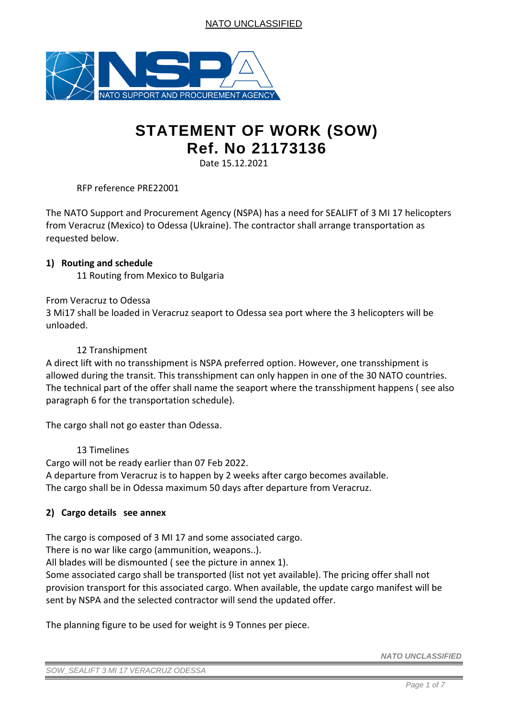

# **STATEMENT OF WORK (SOW) Ref. No 21173136**

Date 15.12.2021

RFP reference PRE22001

The NATO Support and Procurement Agency (NSPA) has a need for SEALIFT of 3 MI 17 helicopters from Veracruz (Mexico) to Odessa (Ukraine). The contractor shall arrange transportation as requested below.

#### **1) Routing and schedule**

11 Routing from Mexico to Bulgaria

#### From Veracruz to Odessa

3 Mi17 shall be loaded in Veracruz seaport to Odessa sea port where the 3 helicopters will be unloaded.

#### 12 Transhipment

A direct lift with no transshipment is NSPA preferred option. However, one transshipment is allowed during the transit. This transshipment can only happen in one of the 30 NATO countries. The technical part of the offer shall name the seaport where the transshipment happens ( see also paragraph 6 for the transportation schedule).

The cargo shall not go easter than Odessa.

#### 13 Timelines

Cargo will not be ready earlier than 07 Feb 2022. A departure from Veracruz is to happen by 2 weeks after cargo becomes available. The cargo shall be in Odessa maximum 50 days after departure from Veracruz.

## **2) Cargo details see annex**

The cargo is composed of 3 MI 17 and some associated cargo.

There is no war like cargo (ammunition, weapons..).

All blades will be dismounted ( see the picture in annex 1).

Some associated cargo shall be transported (list not yet available). The pricing offer shall not provision transport for this associated cargo. When available, the update cargo manifest will be sent by NSPA and the selected contractor will send the updated offer.

The planning figure to be used for weight is 9 Tonnes per piece.

*NATO UNCLASSIFIED*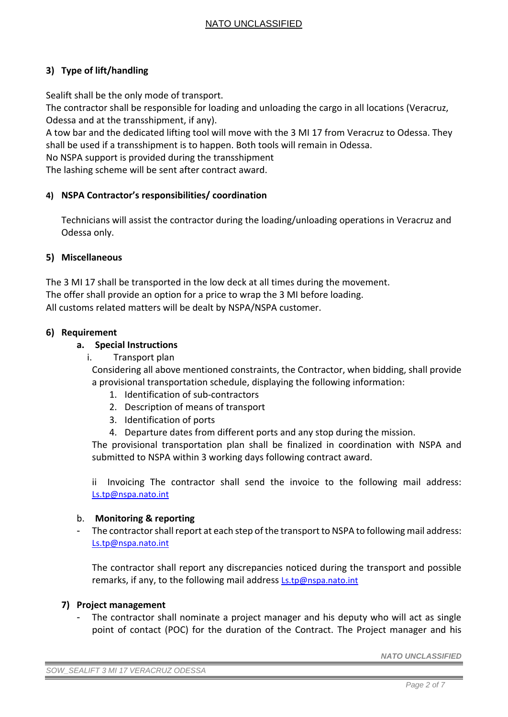## **3) Type of lift/handling**

Sealift shall be the only mode of transport.

The contractor shall be responsible for loading and unloading the cargo in all locations (Veracruz, Odessa and at the transshipment, if any).

A tow bar and the dedicated lifting tool will move with the 3 MI 17 from Veracruz to Odessa. They shall be used if a transshipment is to happen. Both tools will remain in Odessa.

No NSPA support is provided during the transshipment

The lashing scheme will be sent after contract award.

#### **4) NSPA Contractor's responsibilities/ coordination**

Technicians will assist the contractor during the loading/unloading operations in Veracruz and Odessa only.

#### **5) Miscellaneous**

The 3 MI 17 shall be transported in the low deck at all times during the movement. The offer shall provide an option for a price to wrap the 3 MI before loading. All customs related matters will be dealt by NSPA/NSPA customer.

#### **6) Requirement**

#### **a. Special Instructions**

i. Transport plan

Considering all above mentioned constraints, the Contractor, when bidding, shall provide a provisional transportation schedule, displaying the following information:

- 1. Identification of sub-contractors
- 2. Description of means of transport
- 3. Identification of ports
- 4. Departure dates from different ports and any stop during the mission.

The provisional transportation plan shall be finalized in coordination with NSPA and submitted to NSPA within 3 working days following contract award.

ii Invoicing The contractor shall send the invoice to the following mail address: [Ls.tp@nspa.nato.int](mailto:Ls.tp@nspa.nato.int)

#### b. **Monitoring & reporting**

The contractor shall report at each step of the transport to NSPA to following mail address: [Ls.tp@nspa.nato.int](mailto:Ls.tp@nspa.nato.int)

The contractor shall report any discrepancies noticed during the transport and possible remarks, if any, to the following mail address [Ls.tp@nspa.nato.int](mailto:Ls.tp@nspa.nato.int)

#### **7) Project management**

The contractor shall nominate a project manager and his deputy who will act as single point of contact (POC) for the duration of the Contract. The Project manager and his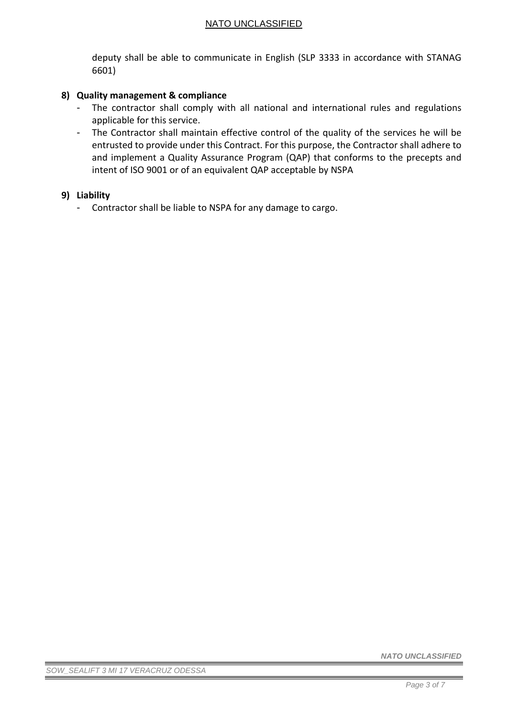deputy shall be able to communicate in English (SLP 3333 in accordance with STANAG 6601)

### **8) Quality management & compliance**

- The contractor shall comply with all national and international rules and regulations applicable for this service.
- The Contractor shall maintain effective control of the quality of the services he will be entrusted to provide under this Contract. For this purpose, the Contractor shall adhere to and implement a Quality Assurance Program (QAP) that conforms to the precepts and intent of ISO 9001 or of an equivalent QAP acceptable by NSPA

#### **9) Liability**

- Contractor shall be liable to NSPA for any damage to cargo.

*NATO UNCLASSIFIED*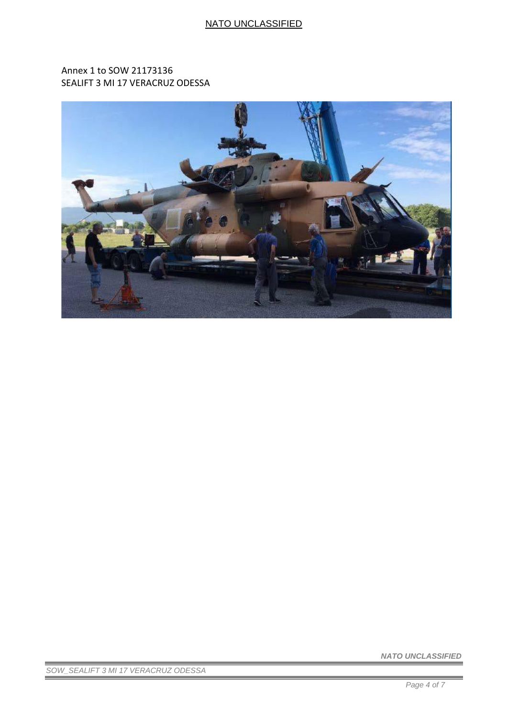Annex 1 to SOW 21173136 SEALIFT 3 MI 17 VERACRUZ ODESSA



*NATO UNCLASSIFIED* 

*SOW\_SEALIFT 3 MI 17 VERACRUZ ODESSA*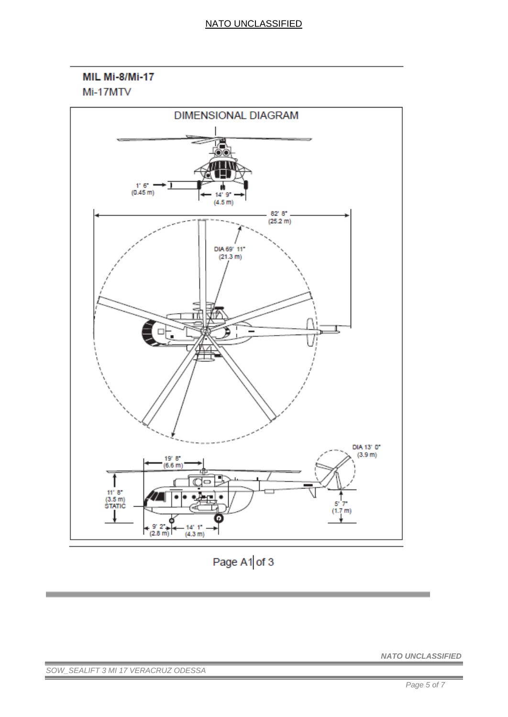MIL Mi-8/Mi-17 Mi-17MTV



Page A1 of 3

*SOW\_SEALIFT 3 MI 17 VERACRUZ ODESSA*

*NATO UNCLASSIFIED*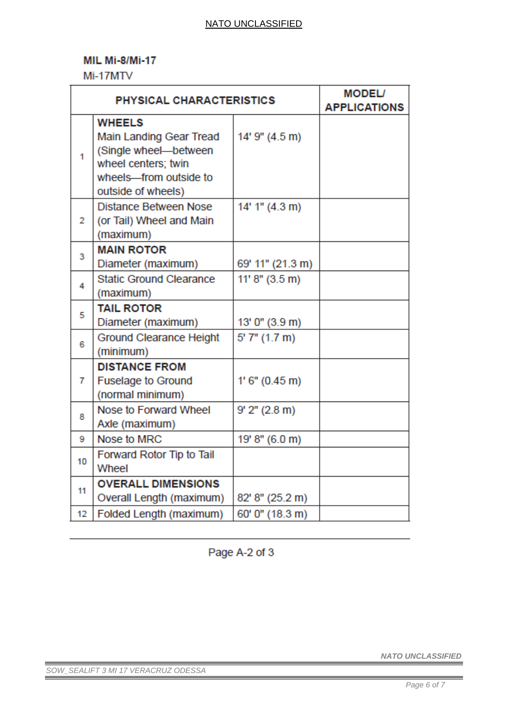## **MIL Mi-8/Mi-17**

Mi-17MTV

| <b>PHYSICAL CHARACTERISTICS</b> |                                                                                                                                          |                              | <b>MODEL/</b><br><b>APPLICATIONS</b> |
|---------------------------------|------------------------------------------------------------------------------------------------------------------------------------------|------------------------------|--------------------------------------|
| 1                               | <b>WHEELS</b><br>Main Landing Gear Tread<br>(Single wheel-between<br>wheel centers; twin<br>wheels-from outside to<br>outside of wheels) | 14' 9" (4.5 m)               |                                      |
| $\overline{2}$                  | <b>Distance Between Nose</b><br>(or Tail) Wheel and Main<br>(maximum)                                                                    | 14' 1" (4.3 m)               |                                      |
| 3                               | <b>MAIN ROTOR</b><br>Diameter (maximum)                                                                                                  | 69' 11" (21.3 m)             |                                      |
| 4                               | <b>Static Ground Clearance</b><br>(maximum)                                                                                              | 11' 8'' (3.5 m)              |                                      |
| 5                               | <b>TAIL ROTOR</b><br>Diameter (maximum)                                                                                                  | 13' 0" (3.9 m)               |                                      |
| 6                               | <b>Ground Clearance Height</b><br>(minimum)                                                                                              | $5'$ $7''$ $(1.7 \text{ m})$ |                                      |
| $\overline{7}$                  | <b>DISTANCE FROM</b><br><b>Fuselage to Ground</b><br>(normal minimum)                                                                    | 1' 6'' (0.45 m)              |                                      |
| 8                               | Nose to Forward Wheel<br>Axle (maximum)                                                                                                  | $9'$ $2''$ $(2.8 \text{ m})$ |                                      |
| 9                               | Nose to MRC                                                                                                                              | 19' 8" (6.0 m)               |                                      |
| 10                              | Forward Rotor Tip to Tail<br>Wheel                                                                                                       |                              |                                      |
| 11                              | <b>OVERALL DIMENSIONS</b><br>Overall Length (maximum)                                                                                    | 82' 8" (25.2 m)              |                                      |
| 12                              | Folded Length (maximum)                                                                                                                  | 60' 0" (18.3 m)              |                                      |

Page A-2 of 3

*NATO UNCLASSIFIED* 

*SOW\_SEALIFT 3 MI 17 VERACRUZ ODESSA*